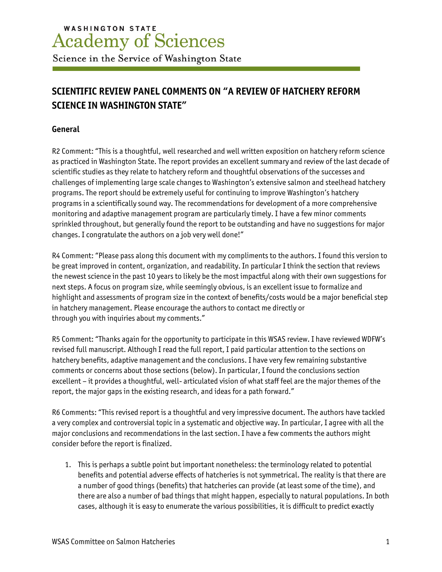# WASHINGTON STATE **Academy of Sciences**

Science in the Service of Washington State

# **SCIENTIFIC REVIEW PANEL COMMENTS ON "A REVIEW OF HATCHERY REFORM SCIENCE IN WASHINGTON STATE"**

#### **General**

R2 Comment: "This is a thoughtful, well researched and well written exposition on hatchery reform science as practiced in Washington State. The report provides an excellent summary and review of the last decade of scientific studies as they relate to hatchery reform and thoughtful observations of the successes and challenges of implementing large scale changes to Washington's extensive salmon and steelhead hatchery programs. The report should be extremely useful for continuing to improve Washington's hatchery programs in a scientifically sound way. The recommendations for development of a more comprehensive monitoring and adaptive management program are particularly timely. I have a few minor comments sprinkled throughout, but generally found the report to be outstanding and have no suggestions for major changes. I congratulate the authors on a job very well done!"

R4 Comment: "Please pass along this document with my compliments to the authors. I found this version to be great improved in content, organization, and readability. In particular I think the section that reviews the newest science in the past 10 years to likely be the most impactful along with their own suggestions for next steps. A focus on program size, while seemingly obvious, is an excellent issue to formalize and highlight and assessments of program size in the context of benefits/costs would be a major beneficial step in hatchery management. Please encourage the authors to contact me directly or through you with inquiries about my comments."

R5 Comment: "Thanks again for the opportunity to participate in this WSAS review. I have reviewed WDFW's revised full manuscript. Although I read the full report, I paid particular attention to the sections on hatchery benefits, adaptive management and the conclusions. I have very few remaining substantive comments or concerns about those sections (below). In particular, I found the conclusions section excellent – it provides a thoughtful, well- articulated vision of what staff feel are the major themes of the report, the major gaps in the existing research, and ideas for a path forward."

R6 Comments: "This revised report is a thoughtful and very impressive document. The authors have tackled a very complex and controversial topic in a systematic and objective way. In particular, I agree with all the major conclusions and recommendations in the last section. I have a few comments the authors might consider before the report is finalized.

1. This is perhaps a subtle point but important nonetheless: the terminology related to potential benefits and potential adverse effects of hatcheries is not symmetrical. The reality is that there are a number of good things (benefits) that hatcheries can provide (at least some of the time), and there are also a number of bad things that might happen, especially to natural populations. In both cases, although it is easy to enumerate the various possibilities, it is difficult to predict exactly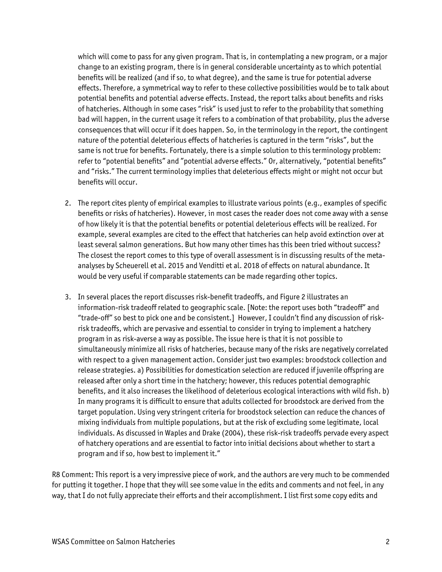which will come to pass for any given program. That is, in contemplating a new program, or a major change to an existing program, there is in general considerable uncertainty as to which potential benefits will be realized (and if so, to what degree), and the same is true for potential adverse effects. Therefore, a symmetrical way to refer to these collective possibilities would be to talk about potential benefits and potential adverse effects. Instead, the report talks about benefits and risks of hatcheries. Although in some cases "risk" is used just to refer to the probability that something bad will happen, in the current usage it refers to a combination of that probability, plus the adverse consequences that will occur if it does happen. So, in the terminology in the report, the contingent nature of the potential deleterious effects of hatcheries is captured in the term "risks", but the same is not true for benefits. Fortunately, there is a simple solution to this terminology problem: refer to "potential benefits" and "potential adverse effects." Or, alternatively, "potential benefits" and "risks." The current terminology implies that deleterious effects might or might not occur but benefits will occur.

- 2. The report cites plenty of empirical examples to illustrate various points (e.g., examples of specific benefits or risks of hatcheries). However, in most cases the reader does not come away with a sense of how likely it is that the potential benefits or potential deleterious effects will be realized. For example, several examples are cited to the effect that hatcheries can help avoid extinction over at least several salmon generations. But how many other times has this been tried without success? The closest the report comes to this type of overall assessment is in discussing results of the metaanalyses by Scheuerell et al. 2015 and Venditti et al. 2018 of effects on natural abundance. It would be very useful if comparable statements can be made regarding other topics.
- 3. In several places the report discusses risk-benefit tradeoffs, and Figure 2 illustrates an information-risk tradeoff related to geographic scale. [Note: the report uses both "tradeoff" and "trade-off" so best to pick one and be consistent.] However, I couldn't find any discussion of riskrisk tradeoffs, which are pervasive and essential to consider in trying to implement a hatchery program in as risk-averse a way as possible. The issue here is that it is not possible to simultaneously minimize all risks of hatcheries, because many of the risks are negatively correlated with respect to a given management action. Consider just two examples: broodstock collection and release strategies. a) Possibilities for domestication selection are reduced if juvenile offspring are released after only a short time in the hatchery; however, this reduces potential demographic benefits, and it also increases the likelihood of deleterious ecological interactions with wild fish. b) In many programs it is difficult to ensure that adults collected for broodstock are derived from the target population. Using very stringent criteria for broodstock selection can reduce the chances of mixing individuals from multiple populations, but at the risk of excluding some legitimate, local individuals. As discussed in Waples and Drake (2004), these risk-risk tradeoffs pervade every aspect of hatchery operations and are essential to factor into initial decisions about whether to start a program and if so, how best to implement it."

R8 Comment: This report is a very impressive piece of work, and the authors are very much to be commended for putting it together. I hope that they will see some value in the edits and comments and not feel, in any way, that I do not fully appreciate their efforts and their accomplishment. I list first some copy edits and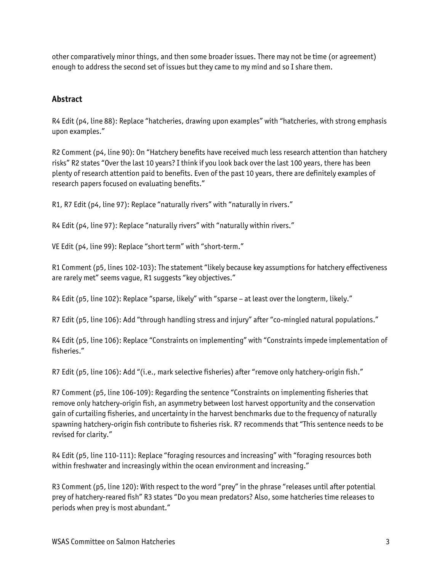other comparatively minor things, and then some broader issues. There may not be time (or agreement) enough to address the second set of issues but they came to my mind and so I share them.

# **Abstract**

R4 Edit (p4, line 88): Replace "hatcheries, drawing upon examples" with "hatcheries, with strong emphasis upon examples."

R2 Comment (p4, line 90): On "Hatchery benefits have received much less research attention than hatchery risks" R2 states "Over the last 10 years? I think if you look back over the last 100 years, there has been plenty of research attention paid to benefits. Even of the past 10 years, there are definitely examples of research papers focused on evaluating benefits."

R1, R7 Edit (p4, line 97): Replace "naturally rivers" with "naturally in rivers."

R4 Edit (p4, line 97): Replace "naturally rivers" with "naturally within rivers."

VE Edit (p4, line 99): Replace "short term" with "short-term."

R1 Comment (p5, lines 102-103): The statement "likely because key assumptions for hatchery effectiveness are rarely met" seems vague, R1 suggests "key objectives."

R4 Edit (p5, line 102): Replace "sparse, likely" with "sparse – at least over the longterm, likely."

R7 Edit (p5, line 106): Add "through handling stress and injury" after "co-mingled natural populations."

R4 Edit (p5, line 106): Replace "Constraints on implementing" with "Constraints impede implementation of fisheries."

R7 Edit (p5, line 106): Add "(i.e., mark selective fisheries) after "remove only hatchery-origin fish."

R7 Comment (p5, line 106-109): Regarding the sentence "Constraints on implementing fisheries that remove only hatchery-origin fish, an asymmetry between lost harvest opportunity and the conservation gain of curtailing fisheries, and uncertainty in the harvest benchmarks due to the frequency of naturally spawning hatchery-origin fish contribute to fisheries risk. R7 recommends that "This sentence needs to be revised for clarity."

R4 Edit (p5, line 110-111): Replace "foraging resources and increasing" with "foraging resources both within freshwater and increasingly within the ocean environment and increasing."

R3 Comment (p5, line 120): With respect to the word "prey" in the phrase "releases until after potential prey of hatchery-reared fish" R3 states "Do you mean predators? Also, some hatcheries time releases to periods when prey is most abundant."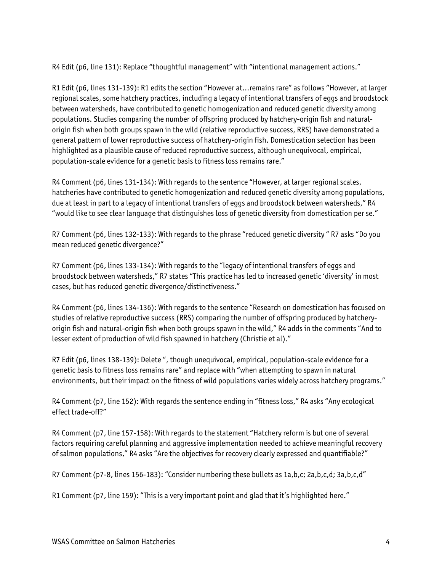R4 Edit (p6, line 131): Replace "thoughtful management" with "intentional management actions."

R1 Edit (p6, lines 131-139): R1 edits the section "However at…remains rare" as follows "However, at larger regional scales, some hatchery practices, including a legacy of intentional transfers of eggs and broodstock between watersheds, have contributed to genetic homogenization and reduced genetic diversity among populations. Studies comparing the number of offspring produced by hatchery-origin fish and naturalorigin fish when both groups spawn in the wild (relative reproductive success, RRS) have demonstrated a general pattern of lower reproductive success of hatchery-origin fish. Domestication selection has been highlighted as a plausible cause of reduced reproductive success, although unequivocal, empirical, population-scale evidence for a genetic basis to fitness loss remains rare."

R4 Comment (p6, lines 131-134): With regards to the sentence "However, at larger regional scales, hatcheries have contributed to genetic homogenization and reduced genetic diversity among populations, due at least in part to a legacy of intentional transfers of eggs and broodstock between watersheds," R4 "would like to see clear language that distinguishes loss of genetic diversity from domestication per se."

R7 Comment (p6, lines 132-133): With regards to the phrase "reduced genetic diversity " R7 asks "Do you mean reduced genetic divergence?"

R7 Comment (p6, lines 133-134): With regards to the "legacy of intentional transfers of eggs and broodstock between watersheds," R7 states "This practice has led to increased genetic 'diversity' in most cases, but has reduced genetic divergence/distinctiveness."

R4 Comment (p6, lines 134-136): With regards to the sentence "Research on domestication has focused on studies of relative reproductive success (RRS) comparing the number of offspring produced by hatcheryorigin fish and natural-origin fish when both groups spawn in the wild," R4 adds in the comments "And to lesser extent of production of wild fish spawned in hatchery (Christie et al)."

R7 Edit (p6, lines 138-139): Delete ", though unequivocal, empirical, population-scale evidence for a genetic basis to fitness loss remains rare" and replace with "when attempting to spawn in natural environments, but their impact on the fitness of wild populations varies widely across hatchery programs."

R4 Comment (p7, line 152): With regards the sentence ending in "fitness loss," R4 asks "Any ecological effect trade-off?"

R4 Comment (p7, line 157-158): With regards to the statement "Hatchery reform is but one of several factors requiring careful planning and aggressive implementation needed to achieve meaningful recovery of salmon populations," R4 asks "Are the objectives for recovery clearly expressed and quantifiable?"

R7 Comment (p7-8, lines 156-183): "Consider numbering these bullets as 1a,b,c; 2a,b,c,d; 3a,b,c,d"

R1 Comment (p7, line 159): "This is a very important point and glad that it's highlighted here."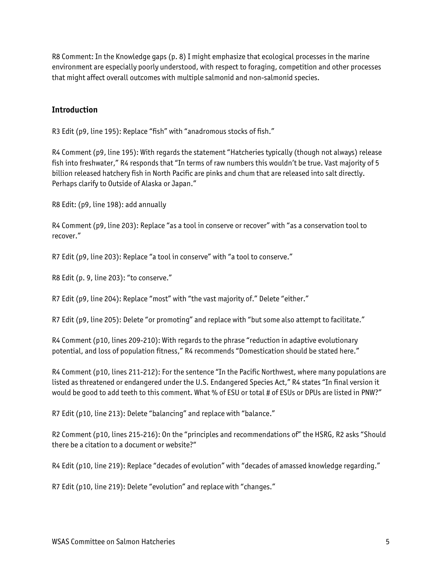R8 Comment: In the Knowledge gaps (p. 8) I might emphasize that ecological processes in the marine environment are especially poorly understood, with respect to foraging, competition and other processes that might affect overall outcomes with multiple salmonid and non-salmonid species.

## **Introduction**

R3 Edit (p9, line 195): Replace "fish" with "anadromous stocks of fish."

R4 Comment (p9, line 195): With regards the statement "Hatcheries typically (though not always) release fish into freshwater," R4 responds that "In terms of raw numbers this wouldn't be true. Vast majority of 5 billion released hatchery fish in North Pacific are pinks and chum that are released into salt directly. Perhaps clarify to Outside of Alaska or Japan."

R8 Edit: (p9, line 198): add annually

R4 Comment (p9, line 203): Replace "as a tool in conserve or recover" with "as a conservation tool to recover."

R7 Edit (p9, line 203): Replace "a tool in conserve" with "a tool to conserve."

R8 Edit (p. 9, line 203): "to conserve."

R7 Edit (p9, line 204): Replace "most" with "the vast majority of." Delete "either."

R7 Edit (p9, line 205): Delete "or promoting" and replace with "but some also attempt to facilitate."

R4 Comment (p10, lines 209-210): With regards to the phrase "reduction in adaptive evolutionary potential, and loss of population fitness," R4 recommends "Domestication should be stated here."

R4 Comment (p10, lines 211-212): For the sentence "In the Pacific Northwest, where many populations are listed as threatened or endangered under the U.S. Endangered Species Act," R4 states "In final version it would be good to add teeth to this comment. What % of ESU or total # of ESUs or DPUs are listed in PNW?"

R7 Edit (p10, line 213): Delete "balancing" and replace with "balance."

R2 Comment (p10, lines 215-216): On the "principles and recommendations of" the HSRG, R2 asks "Should there be a citation to a document or website?"

R4 Edit (p10, line 219): Replace "decades of evolution" with "decades of amassed knowledge regarding."

R7 Edit (p10, line 219): Delete "evolution" and replace with "changes."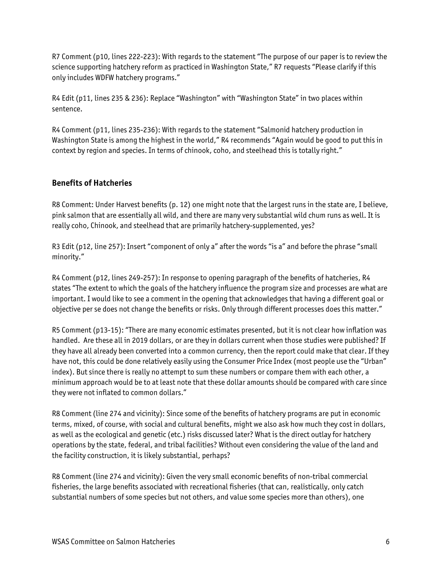R7 Comment (p10, lines 222-223): With regards to the statement "The purpose of our paper is to review the science supporting hatchery reform as practiced in Washington State," R7 requests "Please clarify if this only includes WDFW hatchery programs."

R4 Edit (p11, lines 235 & 236): Replace "Washington" with "Washington State" in two places within sentence.

R4 Comment (p11, lines 235-236): With regards to the statement "Salmonid hatchery production in Washington State is among the highest in the world," R4 recommends "Again would be good to put this in context by region and species. In terms of chinook, coho, and steelhead this is totally right."

## **Benefits of Hatcheries**

R8 Comment: Under Harvest benefits (p. 12) one might note that the largest runs in the state are, I believe, pink salmon that are essentially all wild, and there are many very substantial wild chum runs as well. It is really coho, Chinook, and steelhead that are primarily hatchery-supplemented, yes?

R3 Edit (p12, line 257): Insert "component of only a" after the words "is a" and before the phrase "small minority."

R4 Comment (p12, lines 249-257): In response to opening paragraph of the benefits of hatcheries, R4 states "The extent to which the goals of the hatchery influence the program size and processes are what are important. I would like to see a comment in the opening that acknowledges that having a different goal or objective per se does not change the benefits or risks. Only through different processes does this matter."

R5 Comment (p13-15): "There are many economic estimates presented, but it is not clear how inflation was handled. Are these all in 2019 dollars, or are they in dollars current when those studies were published? If they have all already been converted into a common currency, then the report could make that clear. If they have not, this could be done relatively easily using the Consumer Price Index (most people use the "Urban" index). But since there is really no attempt to sum these numbers or compare them with each other, a minimum approach would be to at least note that these dollar amounts should be compared with care since they were not inflated to common dollars."

R8 Comment (line 274 and vicinity): Since some of the benefits of hatchery programs are put in economic terms, mixed, of course, with social and cultural benefits, might we also ask how much they cost in dollars, as well as the ecological and genetic (etc.) risks discussed later? What is the direct outlay for hatchery operations by the state, federal, and tribal facilities? Without even considering the value of the land and the facility construction, it is likely substantial, perhaps?

R8 Comment (line 274 and vicinity): Given the very small economic benefits of non-tribal commercial fisheries, the large benefits associated with recreational fisheries (that can, realistically, only catch substantial numbers of some species but not others, and value some species more than others), one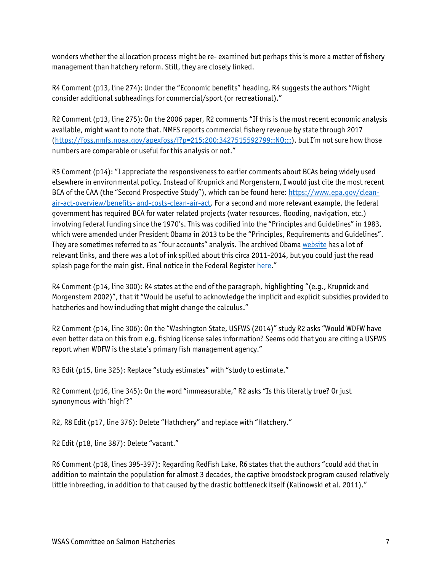wonders whether the allocation process might be re- examined but perhaps this is more a matter of fishery management than hatchery reform. Still, they are closely linked.

R4 Comment (p13, line 274): Under the "Economic benefits" heading, R4 suggests the authors "Might consider additional subheadings for commercial/sport (or recreational)."

R2 Comment (p13, line 275): On the 2006 paper, R2 comments "If this is the most recent economic analysis available, might want to note that. NMFS reports commercial fishery revenue by state through 2017 [\(https://foss.nmfs.noaa.gov/apexfoss/f?p=215:200:3427515592799::NO:::\)](https://foss.nmfs.noaa.gov/apexfoss/f?p=215:200:3427515592799::NO:::), but I'm not sure how those numbers are comparable or useful for this analysis or not."

R5 Comment (p14): "I appreciate the responsiveness to earlier comments about BCAs being widely used elsewhere in environmental policy. Instead of Krupnick and Morgenstern, I would just cite the most recent BCA of the CAA (the "Second Prospective Study"), which can be found here[: https://www.epa.gov/clean](https://www.epa.gov/clean-air-act-overview/benefits-%20and-costs-clean-air-act)[air-act-overview/benefits-](https://www.epa.gov/clean-air-act-overview/benefits-%20and-costs-clean-air-act) and-costs-clean-air-act. For a second and more relevant example, the federal government has required BCA for water related projects (water resources, flooding, navigation, etc.) involving federal funding since the 1970's. This was codified into the "Principles and Guidelines" in 1983, which were amended under President Obama in 2013 to be the "Principles, Requirements and Guidelines". They are sometimes referred to as "four accounts" analysis. The archived Obam[a website](https://obamawhitehouse.archives.gov/administration/eop/ceq/initiatives/PandG) has a lot of relevant links, and there was a lot of ink spilled about this circa 2011-2014, but you could just the read splash page for the main gist. Final notice in the Federal Register [here.](https://www.federalregister.gov/documents/2014/12/24/2014-30170/economic-and-environmental-principles-and-guidelines-for-water-and-related-land-resources)"

R4 Comment (p14, line 300): R4 states at the end of the paragraph, highlighting "(e.g., Krupnick and Morgenstern 2002)", that it "Would be useful to acknowledge the implicit and explicit subsidies provided to hatcheries and how including that might change the calculus."

R2 Comment (p14, line 306): On the "Washington State, USFWS (2014)" study R2 asks "Would WDFW have even better data on this from e.g. fishing license sales information? Seems odd that you are citing a USFWS report when WDFW is the state's primary fish management agency."

R3 Edit (p15, line 325): Replace "study estimates" with "study to estimate."

R2 Comment (p16, line 345): On the word "immeasurable," R2 asks "Is this literally true? Or just synonymous with 'high'?"

R2, R8 Edit (p17, line 376): Delete "Hathchery" and replace with "Hatchery."

R2 Edit (p18, line 387): Delete "vacant."

R6 Comment (p18, lines 395-397): Regarding Redfish Lake, R6 states that the authors "could add that in addition to maintain the population for almost 3 decades, the captive broodstock program caused relatively little inbreeding, in addition to that caused by the drastic bottleneck itself (Kalinowski et al. 2011)."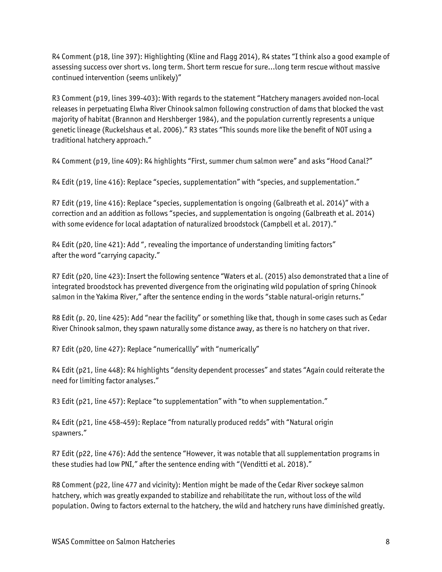R4 Comment (p18, line 397): Highlighting (Kline and Flagg 2014), R4 states "I think also a good example of assessing success over short vs. long term. Short term rescue for sure…long term rescue without massive continued intervention (seems unlikely)"

R3 Comment (p19, lines 399-403): With regards to the statement "Hatchery managers avoided non-local releases in perpetuating Elwha River Chinook salmon following construction of dams that blocked the vast majority of habitat (Brannon and Hershberger 1984), and the population currently represents a unique genetic lineage (Ruckelshaus et al. 2006)." R3 states "This sounds more like the benefit of NOT using a traditional hatchery approach."

R4 Comment (p19, line 409): R4 highlights "First, summer chum salmon were" and asks "Hood Canal?"

R4 Edit (p19, line 416): Replace "species, supplementation" with "species, and supplementation."

R7 Edit (p19, line 416): Replace "species, supplementation is ongoing (Galbreath et al. 2014)" with a correction and an addition as follows "species, and supplementation is ongoing (Galbreath et al. 2014) with some evidence for local adaptation of naturalized broodstock (Campbell et al. 2017)."

R4 Edit (p20, line 421): Add ", revealing the importance of understanding limiting factors" after the word "carrying capacity."

R7 Edit (p20, line 423): Insert the following sentence "Waters et al. (2015) also demonstrated that a line of integrated broodstock has prevented divergence from the originating wild population of spring Chinook salmon in the Yakima River," after the sentence ending in the words "stable natural-origin returns."

R8 Edit (p. 20, line 425): Add "near the facility" or something like that, though in some cases such as Cedar River Chinook salmon, they spawn naturally some distance away, as there is no hatchery on that river.

R7 Edit (p20, line 427): Replace "numericallly" with "numerically"

R4 Edit (p21, line 448): R4 highlights "density dependent processes" and states "Again could reiterate the need for limiting factor analyses."

R3 Edit (p21, line 457): Replace "to supplementation" with "to when supplementation."

R4 Edit (p21, line 458-459): Replace "from naturally produced redds" with "Natural origin spawners."

R7 Edit (p22, line 476): Add the sentence "However, it was notable that all supplementation programs in these studies had low PNI," after the sentence ending with "(Venditti et al. 2018)."

R8 Comment (p22, line 477 and vicinity): Mention might be made of the Cedar River sockeye salmon hatchery, which was greatly expanded to stabilize and rehabilitate the run, without loss of the wild population. Owing to factors external to the hatchery, the wild and hatchery runs have diminished greatly.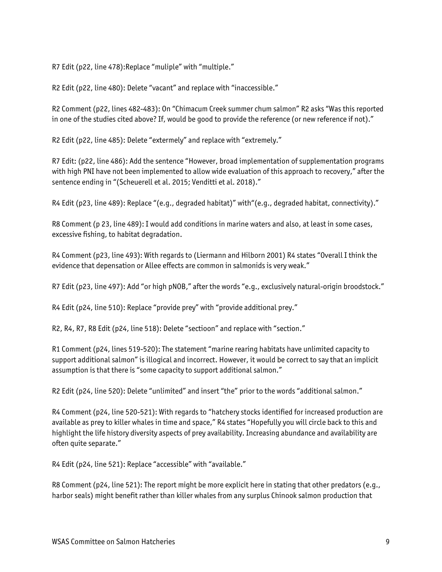R7 Edit (p22, line 478):Replace "muliple" with "multiple."

R2 Edit (p22, line 480): Delete "vacant" and replace with "inaccessible."

R2 Comment (p22, lines 482-483): On "Chimacum Creek summer chum salmon" R2 asks "Was this reported in one of the studies cited above? If, would be good to provide the reference (or new reference if not)."

R2 Edit (p22, line 485): Delete "extermely" and replace with "extremely."

R7 Edit: (p22, line 486): Add the sentence "However, broad implementation of supplementation programs with high PNI have not been implemented to allow wide evaluation of this approach to recovery," after the sentence ending in "(Scheuerell et al. 2015; Venditti et al. 2018)."

R4 Edit (p23, line 489): Replace "(e.g., degraded habitat)" with "(e.g., degraded habitat, connectivity)."

R8 Comment (p 23, line 489): I would add conditions in marine waters and also, at least in some cases, excessive fishing, to habitat degradation.

R4 Comment (p23, line 493): With regards to (Liermann and Hilborn 2001) R4 states "Overall I think the evidence that depensation or Allee effects are common in salmonids is very weak."

R7 Edit (p23, line 497): Add "or high pNOB," after the words "e.g., exclusively natural-origin broodstock."

R4 Edit (p24, line 510): Replace "provide prey" with "provide additional prey."

R2, R4, R7, R8 Edit (p24, line 518): Delete "sectioon" and replace with "section."

R1 Comment (p24, lines 519-520): The statement "marine rearing habitats have unlimited capacity to support additional salmon" is illogical and incorrect. However, it would be correct to say that an implicit assumption is that there is "some capacity to support additional salmon."

R2 Edit (p24, line 520): Delete "unlimited" and insert "the" prior to the words "additional salmon."

R4 Comment (p24, line 520-521): With regards to "hatchery stocks identified for increased production are available as prey to killer whales in time and space," R4 states "Hopefully you will circle back to this and highlight the life history diversity aspects of prey availability. Increasing abundance and availability are often quite separate."

R4 Edit (p24, line 521): Replace "accessible" with "available."

R8 Comment (p24, line 521): The report might be more explicit here in stating that other predators (e.g., harbor seals) might benefit rather than killer whales from any surplus Chinook salmon production that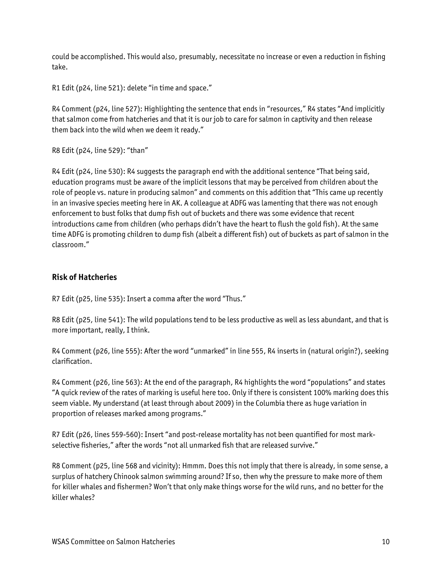could be accomplished. This would also, presumably, necessitate no increase or even a reduction in fishing take.

R1 Edit (p24, line 521): delete "in time and space."

R4 Comment (p24, line 527): Highlighting the sentence that ends in "resources," R4 states "And implicitly that salmon come from hatcheries and that it is our job to care for salmon in captivity and then release them back into the wild when we deem it ready."

R8 Edit (p24, line 529): "than"

R4 Edit (p24, line 530): R4 suggests the paragraph end with the additional sentence "That being said, education programs must be aware of the implicit lessons that may be perceived from children about the role of people vs. nature in producing salmon" and comments on this addition that "This came up recently in an invasive species meeting here in AK. A colleague at ADFG was lamenting that there was not enough enforcement to bust folks that dump fish out of buckets and there was some evidence that recent introductions came from children (who perhaps didn't have the heart to flush the gold fish). At the same time ADFG is promoting children to dump fish (albeit a different fish) out of buckets as part of salmon in the classroom."

## **Risk of Hatcheries**

R7 Edit (p25, line 535): Insert a comma after the word "Thus."

R8 Edit (p25, line 541): The wild populations tend to be less productive as well as less abundant, and that is more important, really, I think.

R4 Comment (p26, line 555): After the word "unmarked" in line 555, R4 inserts in (natural origin?), seeking clarification.

R4 Comment (p26, line 563): At the end of the paragraph, R4 highlights the word "populations" and states "A quick review of the rates of marking is useful here too. Only if there is consistent 100% marking does this seem viable. My understand (at least through about 2009) in the Columbia there as huge variation in proportion of releases marked among programs."

R7 Edit (p26, lines 559-560): Insert "and post-release mortality has not been quantified for most markselective fisheries," after the words "not all unmarked fish that are released survive."

R8 Comment (p25, line 568 and vicinity): Hmmm. Does this not imply that there is already, in some sense, a surplus of hatchery Chinook salmon swimming around? If so, then why the pressure to make more of them for killer whales and fishermen? Won't that only make things worse for the wild runs, and no better for the killer whales?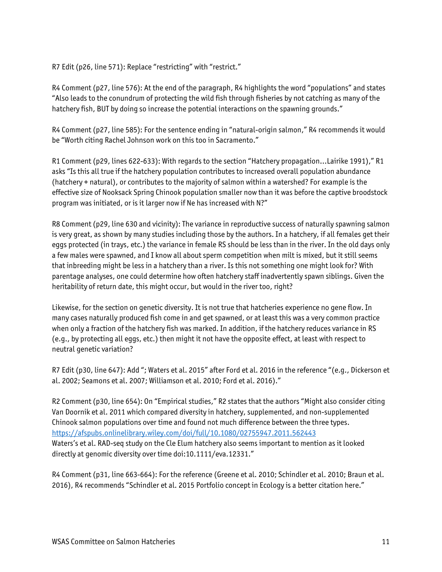R7 Edit (p26, line 571): Replace "restricting" with "restrict."

R4 Comment (p27, line 576): At the end of the paragraph, R4 highlights the word "populations" and states "Also leads to the conundrum of protecting the wild fish through fisheries by not catching as many of the hatchery fish, BUT by doing so increase the potential interactions on the spawning grounds."

R4 Comment (p27, line 585): For the sentence ending in "natural-origin salmon," R4 recommends it would be "Worth citing Rachel Johnson work on this too in Sacramento."

R1 Comment (p29, lines 622-633): With regards to the section "Hatchery propagation…Lairike 1991)," R1 asks "Is this all true if the hatchery population contributes to increased overall population abundance (hatchery + natural), or contributes to the majority of salmon within a watershed? For example is the effective size of Nooksack Spring Chinook population smaller now than it was before the captive broodstock program was initiated, or is it larger now if Ne has increased with N?"

R8 Comment (p29, line 630 and vicinity): The variance in reproductive success of naturally spawning salmon is very great, as shown by many studies including those by the authors. In a hatchery, if all females get their eggs protected (in trays, etc.) the variance in female RS should be less than in the river. In the old days only a few males were spawned, and I know all about sperm competition when milt is mixed, but it still seems that inbreeding might be less in a hatchery than a river. Is this not something one might look for? With parentage analyses, one could determine how often hatchery staff inadvertently spawn siblings. Given the heritability of return date, this might occur, but would in the river too, right?

Likewise, for the section on genetic diversity. It is not true that hatcheries experience no gene flow. In many cases naturally produced fish come in and get spawned, or at least this was a very common practice when only a fraction of the hatchery fish was marked. In addition, if the hatchery reduces variance in RS (e.g., by protecting all eggs, etc.) then might it not have the opposite effect, at least with respect to neutral genetic variation?

R7 Edit (p30, line 647): Add "; Waters et al. 2015" after Ford et al. 2016 in the reference "(e.g., Dickerson et al. 2002; Seamons et al. 2007; Williamson et al. 2010; Ford et al. 2016)."

R2 Comment (p30, line 654): On "Empirical studies," R2 states that the authors "Might also consider citing Van Doornik et al. 2011 which compared diversity in hatchery, supplemented, and non-supplemented Chinook salmon populations over time and found not much difference between the three types. <https://afspubs.onlinelibrary.wiley.com/doi/full/10.1080/02755947.2011.562443> Waters's et al. RAD-seq study on the Cle Elum hatchery also seems important to mention as it looked directly at genomic diversity over time doi:10.1111/eva.12331."

R4 Comment (p31, line 663-664): For the reference (Greene et al. 2010; Schindler et al. 2010; Braun et al. 2016), R4 recommends "Schindler et al. 2015 Portfolio concept in Ecology is a better citation here."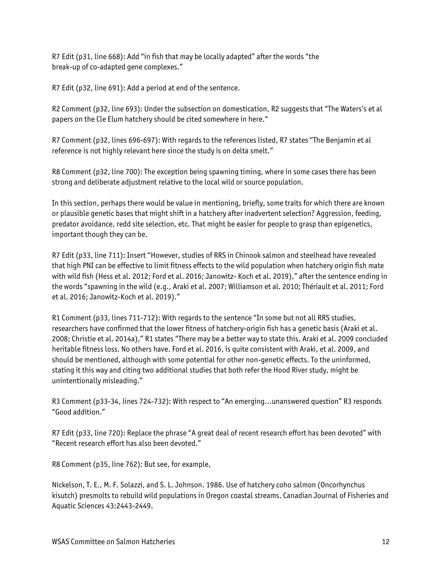R7 Edit (p31, line 668): Add "in fish that may be locally adapted" after the words "the break-up of co-adapted gene complexes."

R7 Edit (p32, line 691): Add a period at end of the sentence.

R2 Comment (p32, line 693): Under the subsection on domestication, R2 suggests that "The Waters's et al papers on the Cle Elum hatchery should be cited somewhere in here."

R7 Comment (p32, lines 696-697): With regards to the references listed, R7 states "The Benjamin et al reference is not highly relevant here since the study is on delta smelt."

R8 Comment (p32, line 700): The exception being spawning timing, where in some cases there has been strong and deliberate adjustment relative to the local wild or source population.

In this section, perhaps there would be value in mentioning, briefly, some traits for which there are known or plausible genetic bases that might shift in a hatchery after inadvertent selection? Aggression, feeding, predator avoidance, redd site selection, etc. That might be easier for people to grasp than epigenetics, important though they can be.

R7 Edit (p33, line 711): Insert "However, studies of RRS in Chinook salmon and steelhead have revealed that high PNI can be effective to limit fitness effects to the wild population when hatchery origin fish mate with wild fish (Hess et al. 2012; Ford et al. 2016; Janowitz- Koch et al. 2019)," after the sentence ending in the words "spawning in the wild (e.g., Araki et al. 2007; Williamson et al. 2010; Thériault et al. 2011; Ford et al. 2016; Janowitz-Koch et al. 2019)."

R1 Comment (p33, lines 711-712): With regards to the sentence "In some but not all RRS studies, researchers have confirmed that the lower fitness of hatchery-origin fish has a genetic basis (Araki et al. 2008; Christie et al. 2014a)," R1 states "There may be a better way to state this. Araki et al. 2009 concluded heritable fitness loss. No others have. Ford et al. 2016, is quite consistent with Araki, et al. 2009, and should be mentioned, although with some potential for other non-genetic effects. To the uninformed, stating it this way and citing two additional studies that both refer the Hood River study, might be unintentionally misleading."

R3 Comment (p33-34, lines 724-732): With respect to "An emerging…unanswered question" R3 responds "Good addition."

R7 Edit (p33, line 720): Replace the phrase "A great deal of recent research effort has been devoted" with "Recent research effort has also been devoted."

R8 Comment (p35, line 762): But see, for example,

Nickelson, T. E., M. F. Solazzi, and S. L. Johnson. 1986. Use of hatchery coho salmon (Oncorhynchus kisutch) presmolts to rebuild wild populations in Oregon coastal streams. Canadian Journal of Fisheries and Aquatic Sciences 43:2443-2449.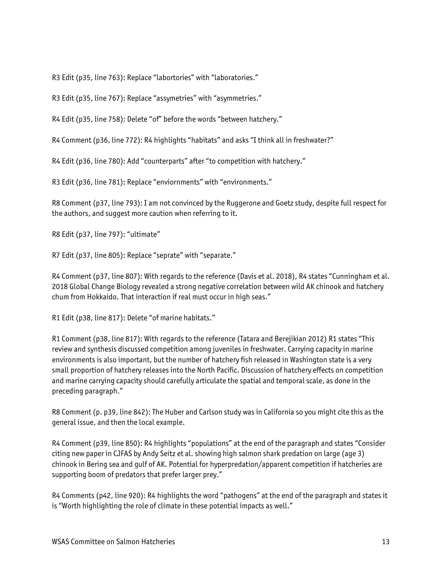R3 Edit (p35, line 763): Replace "labortories" with "laboratories."

R3 Edit (p35, line 767): Replace "assymetries" with "asymmetries."

R4 Edit (p35, line 758): Delete "of" before the words "between hatchery."

R4 Comment (p36, line 772): R4 highlights "habitats" and asks "I think all in freshwater?"

R4 Edit (p36, line 780): Add "counterparts" after "to competition with hatchery."

R3 Edit (p36, line 781): Replace "enviornments" with "environments."

R8 Comment (p37, line 793): I am not convinced by the Ruggerone and Goetz study, despite full respect for the authors, and suggest more caution when referring to it.

R8 Edit (p37, line 797): "ultimate"

R7 Edit (p37, line 805): Replace "seprate" with "separate."

R4 Comment (p37, line 807): With regards to the reference (Davis et al. 2018), R4 states "Cunningham et al. 2018 Global Change Biology revealed a strong negative correlation between wild AK chinook and hatchery chum from Hokkaido. That interaction if real must occur in high seas."

R1 Edit (p38, line 817): Delete "of marine habitats."

R1 Comment (p38, line 817): With regards to the reference (Tatara and Berejikian 2012) R1 states "This review and synthesis discussed competition among juveniles in freshwater. Carrying capacity in marine environments is also important, but the number of hatchery fish released in Washington state is a very small proportion of hatchery releases into the North Pacific. Discussion of hatchery effects on competition and marine carrying capacity should carefully articulate the spatial and temporal scale, as done in the preceding paragraph."

R8 Comment (p. p39, line 842): The Huber and Carlson study was in California so you might cite this as the general issue, and then the local example.

R4 Comment (p39, line 850): R4 highlights "populations" at the end of the paragraph and states "Consider citing new paper in CJFAS by Andy Seitz et al. showing high salmon shark predation on large (age 3) chinook in Bering sea and gulf of AK. Potential for hyperpredation/apparent competition if hatcheries are supporting boom of predators that prefer larger prey."

R4 Comments (p42, line 920): R4 highlights the word "pathogens" at the end of the paragraph and states it is "Worth highlighting the role of climate in these potential impacts as well."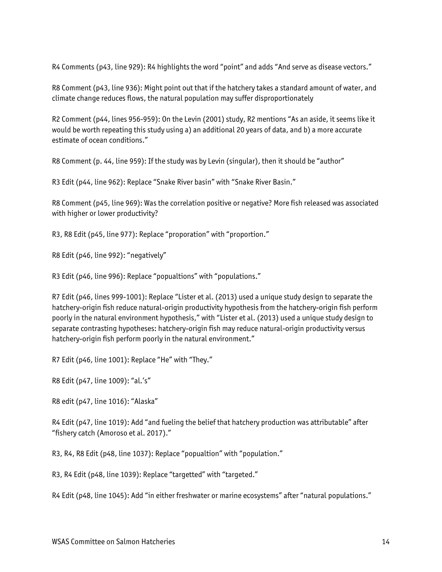R4 Comments (p43, line 929): R4 highlights the word "point" and adds "And serve as disease vectors."

R8 Comment (p43, line 936): Might point out that if the hatchery takes a standard amount of water, and climate change reduces flows, the natural population may suffer disproportionately

R2 Comment (p44, lines 956-959): On the Levin (2001) study, R2 mentions "As an aside, it seems like it would be worth repeating this study using a) an additional 20 years of data, and b) a more accurate estimate of ocean conditions."

R8 Comment (p. 44, line 959): If the study was by Levin (singular), then it should be "author"

R3 Edit (p44, line 962): Replace "Snake River basin" with "Snake River Basin."

R8 Comment (p45, line 969): Was the correlation positive or negative? More fish released was associated with higher or lower productivity?

R3, R8 Edit (p45, line 977): Replace "proporation" with "proportion."

R8 Edit (p46, line 992): "negatively"

R3 Edit (p46, line 996): Replace "popualtions" with "populations."

R7 Edit (p46, lines 999-1001): Replace "Lister et al. (2013) used a unique study design to separate the hatchery-origin fish reduce natural-origin productivity hypothesis from the hatchery-origin fish perform poorly in the natural environment hypothesis," with "Lister et al. (2013) used a unique study design to separate contrasting hypotheses: hatchery-origin fish may reduce natural-origin productivity versus hatchery-origin fish perform poorly in the natural environment."

R7 Edit (p46, line 1001): Replace "He" with "They."

R8 Edit (p47, line 1009): "al.'s"

R8 edit (p47, line 1016): "Alaska"

R4 Edit (p47, line 1019): Add "and fueling the belief that hatchery production was attributable" after "fishery catch (Amoroso et al. 2017)."

R3, R4, R8 Edit (p48, line 1037): Replace "popualtion" with "population."

R3, R4 Edit (p48, line 1039): Replace "targetted" with "targeted."

R4 Edit (p48, line 1045): Add "in either freshwater or marine ecosystems" after "natural populations."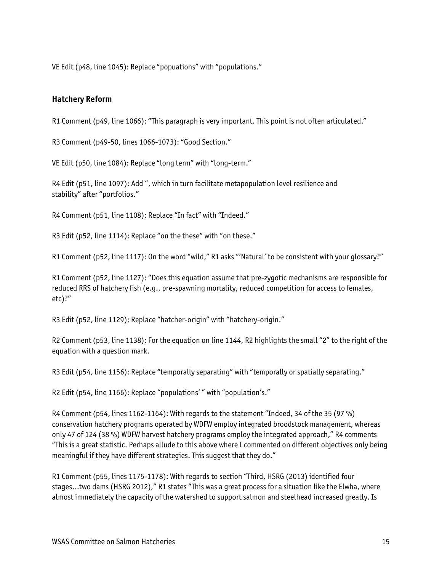VE Edit (p48, line 1045): Replace "popuations" with "populations."

#### **Hatchery Reform**

R1 Comment (p49, line 1066): "This paragraph is very important. This point is not often articulated."

R3 Comment (p49-50, lines 1066-1073): "Good Section."

VE Edit (p50, line 1084): Replace "long term" with "long-term."

R4 Edit (p51, line 1097): Add ", which in turn facilitate metapopulation level resilience and stability" after "portfolios."

R4 Comment (p51, line 1108): Replace "In fact" with "Indeed."

R3 Edit (p52, line 1114): Replace "on the these" with "on these."

R1 Comment (p52, line 1117): On the word "wild," R1 asks "'Natural' to be consistent with your qlossary?"

R1 Comment (p52, line 1127): "Does this equation assume that pre-zygotic mechanisms are responsible for reduced RRS of hatchery fish (e.g., pre-spawning mortality, reduced competition for access to females, etc)?"

R3 Edit (p52, line 1129): Replace "hatcher-origin" with "hatchery-origin."

R2 Comment (p53, line 1138): For the equation on line 1144, R2 highlights the small "2" to the right of the equation with a question mark.

R3 Edit (p54, line 1156): Replace "temporally separating" with "temporally or spatially separating."

R2 Edit (p54, line 1166): Replace "populations' " with "population's."

R4 Comment (p54, lines 1162-1164): With regards to the statement "Indeed, 34 of the 35 (97 %) conservation hatchery programs operated by WDFW employ integrated broodstock management, whereas only 47 of 124 (38 %) WDFW harvest hatchery programs employ the integrated approach," R4 comments "This is a great statistic. Perhaps allude to this above where I commented on different objectives only being meaningful if they have different strategies. This suggest that they do."

R1 Comment (p55, lines 1175-1178): With regards to section "Third, HSRG (2013) identified four stages...two dams (HSRG 2012)," R1 states "This was a great process for a situation like the Elwha, where almost immediately the capacity of the watershed to support salmon and steelhead increased greatly. Is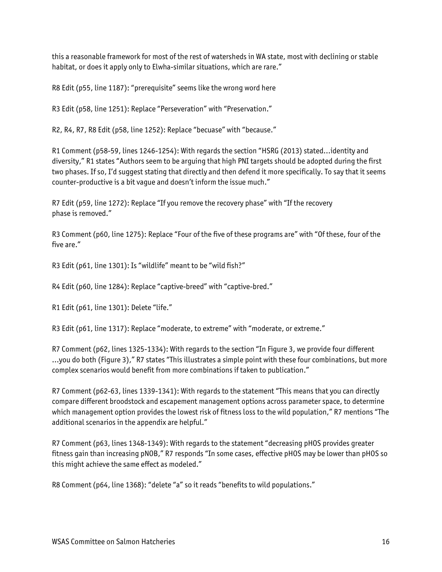this a reasonable framework for most of the rest of watersheds in WA state, most with declining or stable habitat, or does it apply only to Elwha-similar situations, which are rare."

R8 Edit (p55, line 1187): "prerequisite" seems like the wrong word here

R3 Edit (p58, line 1251): Replace "Perseveration" with "Preservation."

R2, R4, R7, R8 Edit (p58, line 1252): Replace "becuase" with "because."

R1 Comment (p58-59, lines 1246-1254): With regards the section "HSRG (2013) stated…identity and diversity," R1 states "Authors seem to be arguing that high PNI targets should be adopted during the first two phases. If so, I'd suggest stating that directly and then defend it more specifically. To say that it seems counter-productive is a bit vague and doesn't inform the issue much."

R7 Edit (p59, line 1272): Replace "If you remove the recovery phase" with "If the recovery phase is removed."

R3 Comment (p60, line 1275): Replace "Four of the five of these programs are" with "Of these, four of the five are."

R3 Edit (p61, line 1301): Is "wildlife" meant to be "wild fish?"

R4 Edit (p60, line 1284): Replace "captive-breed" with "captive-bred."

R1 Edit (p61, line 1301): Delete "life."

R3 Edit (p61, line 1317): Replace "moderate, to extreme" with "moderate, or extreme."

R7 Comment (p62, lines 1325-1334): With regards to the section "In Figure 3, we provide four different …you do both (Figure 3)," R7 states "This illustrates a simple point with these four combinations, but more complex scenarios would benefit from more combinations if taken to publication."

R7 Comment (p62-63, lines 1339-1341): With regards to the statement "This means that you can directly compare different broodstock and escapement management options across parameter space, to determine which management option provides the lowest risk of fitness loss to the wild population," R7 mentions "The additional scenarios in the appendix are helpful."

R7 Comment (p63, lines 1348-1349): With regards to the statement "decreasing pHOS provides greater fitness gain than increasing pNOB," R7 responds "In some cases, effective pHOS may be lower than pHOS so this might achieve the same effect as modeled."

R8 Comment (p64, line 1368): "delete "a" so it reads "benefits to wild populations."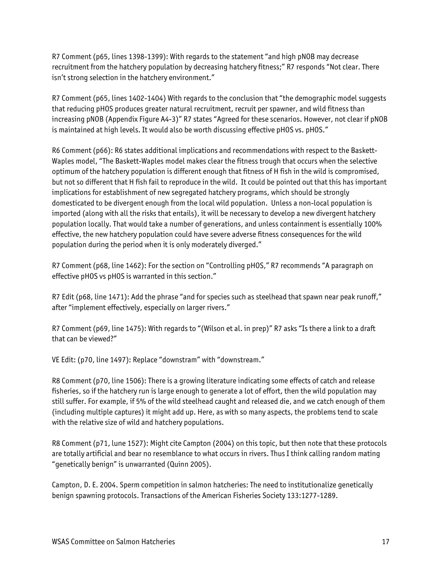R7 Comment (p65, lines 1398-1399): With regards to the statement "and high pNOB may decrease recruitment from the hatchery population by decreasing hatchery fitness;" R7 responds "Not clear. There isn't strong selection in the hatchery environment."

R7 Comment (p65, lines 1402-1404) With regards to the conclusion that "the demographic model suggests that reducing pHOS produces greater natural recruitment, recruit per spawner, and wild fitness than increasing pNOB (Appendix Figure A4-3)" R7 states "Agreed for these scenarios. However, not clear if pNOB is maintained at high levels. It would also be worth discussing effective pHOS vs. pHOS."

R6 Comment (p66): R6 states additional implications and recommendations with respect to the Baskett-Waples model, "The Baskett-Waples model makes clear the fitness trough that occurs when the selective optimum of the hatchery population is different enough that fitness of H fish in the wild is compromised, but not so different that H fish fail to reproduce in the wild. It could be pointed out that this has important implications for establishment of new segregated hatchery programs, which should be strongly domesticated to be divergent enough from the local wild population. Unless a non-local population is imported (along with all the risks that entails), it will be necessary to develop a new divergent hatchery population locally. That would take a number of generations, and unless containment is essentially 100% effective, the new hatchery population could have severe adverse fitness consequences for the wild population during the period when it is only moderately diverged."

R7 Comment (p68, line 1462): For the section on "Controlling pHOS," R7 recommends "A paragraph on effective pHOS vs pHOS is warranted in this section."

R7 Edit (p68, line 1471): Add the phrase "and for species such as steelhead that spawn near peak runoff," after "implement effectively, especially on larger rivers."

R7 Comment (p69, line 1475): With regards to "(Wilson et al. in prep)" R7 asks "Is there a link to a draft that can be viewed?"

VE Edit: (p70, line 1497): Replace "downstram" with "downstream."

R8 Comment (p70, line 1506): There is a growing literature indicating some effects of catch and release fisheries, so if the hatchery run is large enough to generate a lot of effort, then the wild population may still suffer. For example, if 5% of the wild steelhead caught and released die, and we catch enough of them (including multiple captures) it might add up. Here, as with so many aspects, the problems tend to scale with the relative size of wild and hatchery populations.

R8 Comment (p71, lune 1527): Might cite Campton (2004) on this topic, but then note that these protocols are totally artificial and bear no resemblance to what occurs in rivers. Thus I think calling random mating "genetically benign" is unwarranted (Quinn 2005).

Campton, D. E. 2004. Sperm competition in salmon hatcheries: The need to institutionalize genetically benign spawning protocols. Transactions of the American Fisheries Society 133:1277-1289.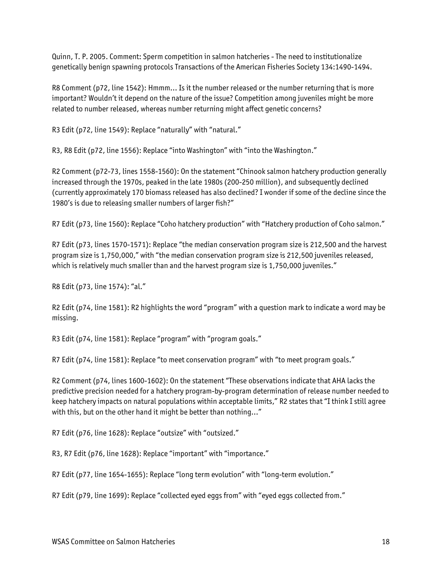Quinn, T. P. 2005. Comment: Sperm competition in salmon hatcheries - The need to institutionalize genetically benign spawning protocols Transactions of the American Fisheries Society 134:1490-1494.

R8 Comment (p72, line 1542): Hmmm… Is it the number released or the number returning that is more important? Wouldn't it depend on the nature of the issue? Competition among juveniles might be more related to number released, whereas number returning might affect genetic concerns?

R3 Edit (p72, line 1549): Replace "naturally" with "natural."

R3, R8 Edit (p72, line 1556): Replace "into Washington" with "into the Washington."

R2 Comment (p72-73, lines 1558-1560): On the statement "Chinook salmon hatchery production generally increased through the 1970s, peaked in the late 1980s (200-250 million), and subsequently declined (currently approximately 170 biomass released has also declined? I wonder if some of the decline since the 1980's is due to releasing smaller numbers of larger fish?"

R7 Edit (p73, line 1560): Replace "Coho hatchery production" with "Hatchery production of Coho salmon."

R7 Edit (p73, lines 1570-1571): Replace "the median conservation program size is 212,500 and the harvest program size is 1,750,000," with "the median conservation program size is 212,500 juveniles released, which is relatively much smaller than and the harvest program size is 1,750,000 juveniles."

R8 Edit (p73, line 1574): "al."

R2 Edit (p74, line 1581): R2 highlights the word "program" with a question mark to indicate a word may be missing.

R3 Edit (p74, line 1581): Replace "program" with "program goals."

R7 Edit (p74, line 1581): Replace "to meet conservation program" with "to meet program goals."

R2 Comment (p74, lines 1600-1602): On the statement "These observations indicate that AHA lacks the predictive precision needed for a hatchery program-by-program determination of release number needed to keep hatchery impacts on natural populations within acceptable limits," R2 states that "I think I still agree with this, but on the other hand it might be better than nothing…"

R7 Edit (p76, line 1628): Replace "outsize" with "outsized."

R3, R7 Edit (p76, line 1628): Replace "important" with "importance."

R7 Edit (p77, line 1654-1655): Replace "long term evolution" with "long-term evolution."

R7 Edit (p79, line 1699): Replace "collected eyed eggs from" with "eyed eggs collected from."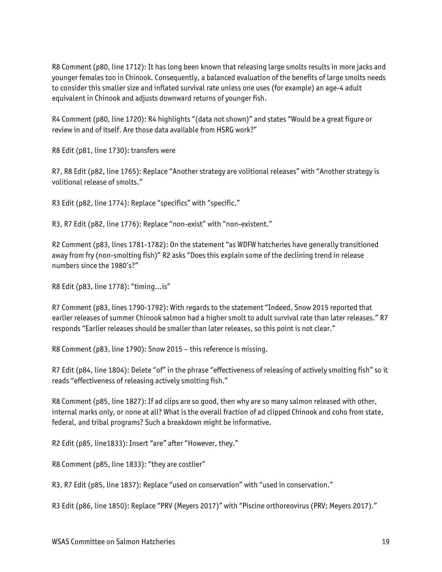R8 Comment (p80, line 1712): It has long been known that releasing large smolts results in more jacks and younger females too in Chinook. Consequently, a balanced evaluation of the benefits of large smolts needs to consider this smaller size and inflated survival rate unless one uses (for example) an age-4 adult equivalent in Chinook and adjusts downward returns of younger fish.

R4 Comment (p80, line 1720): R4 highlights "(data not shown)" and states "Would be a great figure or review in and of itself. Are those data available from HSRG work?"

R8 Edit (p81, line 1730): transfers were

R7, R8 Edit (p82, line 1765): Replace "Another strategy are volitional releases" with "Another strategy is volitional release of smolts."

R3 Edit (p82, line 1774): Replace "specifics" with "specific."

R3, R7 Edit (p82, line 1776): Replace "non-exist" with "non-existent."

R2 Comment (p83, lines 1781-1782): On the statement "as WDFW hatcheries have generally transitioned away from fry (non-smolting fish)" R2 asks "Does this explain some of the declining trend in release numbers since the 1980's?"

R8 Edit (p83, line 1778): "timing…is"

R7 Comment (p83, lines 1790-1792): With regards to the statement "Indeed, Snow 2015 reported that earlier releases of summer Chinook salmon had a higher smolt to adult survival rate than later releases." R7 responds "Earlier releases should be smaller than later releases, so this point is not clear."

R8 Comment (p83, line 1790): Snow 2015 – this reference is missing.

R7 Edit (p84, line 1804): Delete "of" in the phrase "effectiveness of releasing of actively smolting fish" so it reads "effectiveness of releasing actively smolting fish."

R8 Comment (p85, line 1827): If ad clips are so good, then why are so many salmon released with other, internal marks only, or none at all? What is the overall fraction of ad clipped Chinook and coho from state, federal, and tribal programs? Such a breakdown might be informative.

R2 Edit (p85, line1833): Insert "are" after "However, they."

R8 Comment (p85, line 1833): "they are costlier"

R3, R7 Edit (p85, line 1837): Replace "used on conservation" with "used in conservation."

R3 Edit (p86, line 1850): Replace "PRV (Meyers 2017)" with "Piscine orthoreovirus (PRV; Meyers 2017)."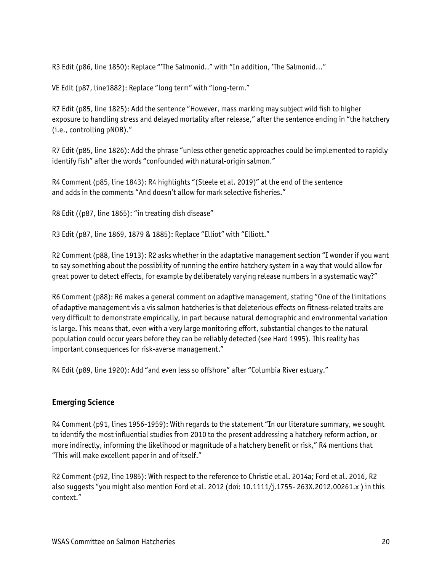R3 Edit (p86, line 1850): Replace "'The Salmonid.." with "In addition, 'The Salmonid…"

VE Edit (p87, line1882): Replace "long term" with "long-term."

R7 Edit (p85, line 1825): Add the sentence "However, mass marking may subject wild fish to higher exposure to handling stress and delayed mortality after release," after the sentence ending in "the hatchery (i.e., controlling pNOB)."

R7 Edit (p85, line 1826): Add the phrase "unless other genetic approaches could be implemented to rapidly identify fish" after the words "confounded with natural-origin salmon."

R4 Comment (p85, line 1843): R4 highlights "(Steele et al. 2019)" at the end of the sentence and adds in the comments "And doesn't allow for mark selective fisheries."

R8 Edit ((p87, line 1865): "in treating dish disease"

R3 Edit (p87, line 1869, 1879 & 1885): Replace "Elliot" with "Elliott."

R2 Comment (p88, line 1913): R2 asks whether in the adaptative management section "I wonder if you want to say something about the possibility of running the entire hatchery system in a way that would allow for great power to detect effects, for example by deliberately varying release numbers in a systematic way?"

R6 Comment (p88): R6 makes a general comment on adaptive management, stating "One of the limitations of adaptive management vis a vis salmon hatcheries is that deleterious effects on fitness-related traits are very difficult to demonstrate empirically, in part because natural demographic and environmental variation is large. This means that, even with a very large monitoring effort, substantial changes to the natural population could occur years before they can be reliably detected (see Hard 1995). This reality has important consequences for risk-averse management."

R4 Edit (p89, line 1920): Add "and even less so offshore" after "Columbia River estuary."

#### **Emerging Science**

R4 Comment (p91, lines 1956-1959): With regards to the statement "In our literature summary, we sought to identify the most influential studies from 2010 to the present addressing a hatchery reform action, or more indirectly, informing the likelihood or magnitude of a hatchery benefit or risk," R4 mentions that "This will make excellent paper in and of itself."

R2 Comment (p92, line 1985): With respect to the reference to Christie et al. 2014a; Ford et al. 2016, R2 also suggests "you might also mention Ford et al. 2012 (doi: 10.1111/j.1755- 263X.2012.00261.x ) in this context."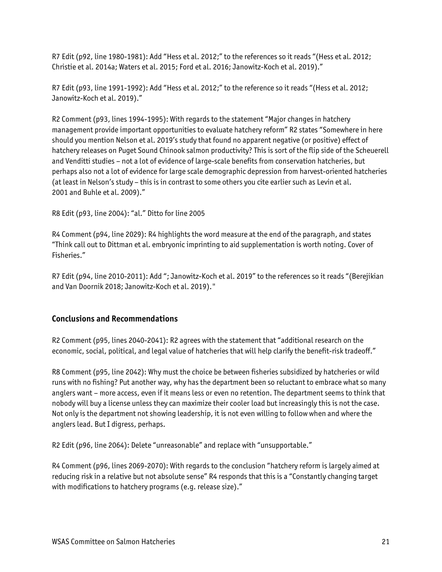R7 Edit (p92, line 1980-1981): Add "Hess et al. 2012;" to the references so it reads "(Hess et al. 2012; Christie et al. 2014a; Waters et al. 2015; Ford et al. 2016; Janowitz-Koch et al. 2019)."

R7 Edit (p93, line 1991-1992): Add "Hess et al. 2012;" to the reference so it reads "(Hess et al. 2012; Janowitz-Koch et al. 2019)."

R2 Comment (p93, lines 1994-1995): With regards to the statement "Major changes in hatchery management provide important opportunities to evaluate hatchery reform" R2 states "Somewhere in here should you mention Nelson et al. 2019's study that found no apparent negative (or positive) effect of hatchery releases on Puget Sound Chinook salmon productivity? This is sort of the flip side of the Scheuerell and Venditti studies – not a lot of evidence of large-scale benefits from conservation hatcheries, but perhaps also not a lot of evidence for large scale demographic depression from harvest-oriented hatcheries (at least in Nelson's study – this is in contrast to some others you cite earlier such as Levin et al. 2001 and Buhle et al. 2009)."

R8 Edit (p93, line 2004): "al." Ditto for line 2005

R4 Comment (p94, line 2029): R4 highlights the word measure at the end of the paragraph, and states "Think call out to Dittman et al. embryonic imprinting to aid supplementation is worth noting. Cover of Fisheries."

R7 Edit (p94, line 2010-2011): Add "; Janowitz-Koch et al. 2019" to the references so it reads "(Berejikian and Van Doornik 2018; Janowitz-Koch et al. 2019)."

# **Conclusions and Recommendations**

R2 Comment (p95, lines 2040-2041): R2 agrees with the statement that "additional research on the economic, social, political, and legal value of hatcheries that will help clarify the benefit-risk tradeoff."

R8 Comment (p95, line 2042): Why must the choice be between fisheries subsidized by hatcheries or wild runs with no fishing? Put another way, why has the department been so reluctant to embrace what so many anglers want – more access, even if it means less or even no retention. The department seems to think that nobody will buy a license unless they can maximize their cooler load but increasingly this is not the case. Not only is the department not showing leadership, it is not even willing to follow when and where the anglers lead. But I digress, perhaps.

R2 Edit (p96, line 2064): Delete "unreasonable" and replace with "unsupportable."

R4 Comment (p96, lines 2069-2070): With regards to the conclusion "hatchery reform is largely aimed at reducing risk in a relative but not absolute sense" R4 responds that this is a "Constantly changing target with modifications to hatchery programs (e.g. release size)."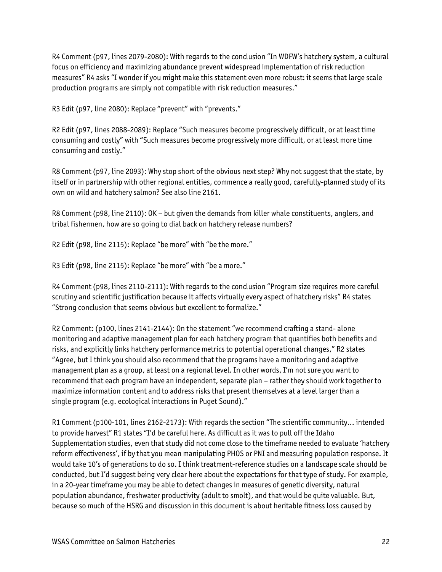R4 Comment (p97, lines 2079-2080): With regards to the conclusion "In WDFW's hatchery system, a cultural focus on efficiency and maximizing abundance prevent widespread implementation of risk reduction measures" R4 asks "I wonder if you might make this statement even more robust: it seems that large scale production programs are simply not compatible with risk reduction measures."

R3 Edit (p97, line 2080): Replace "prevent" with "prevents."

R2 Edit (p97, lines 2088-2089): Replace "Such measures become progressively difficult, or at least time consuming and costly" with "Such measures become progressively more difficult, or at least more time consuming and costly."

R8 Comment (p97, line 2093): Why stop short of the obvious next step? Why not suggest that the state, by itself or in partnership with other regional entities, commence a really good, carefully-planned study of its own on wild and hatchery salmon? See also line 2161.

R8 Comment (p98, line 2110): OK – but given the demands from killer whale constituents, anglers, and tribal fishermen, how are so going to dial back on hatchery release numbers?

R2 Edit (p98, line 2115): Replace "be more" with "be the more."

R3 Edit (p98, line 2115): Replace "be more" with "be a more."

R4 Comment (p98, lines 2110-2111): With regards to the conclusion "Program size requires more careful scrutiny and scientific justification because it affects virtually every aspect of hatchery risks" R4 states "Strong conclusion that seems obvious but excellent to formalize."

R2 Comment: (p100, lines 2141-2144): On the statement "we recommend crafting a stand- alone monitoring and adaptive management plan for each hatchery program that quantifies both benefits and risks, and explicitly links hatchery performance metrics to potential operational changes," R2 states "Agree, but I think you should also recommend that the programs have a monitoring and adaptive management plan as a group, at least on a regional level. In other words, I'm not sure you want to recommend that each program have an independent, separate plan – rather they should work together to maximize information content and to address risks that present themselves at a level larger than a single program (e.g. ecological interactions in Puget Sound)."

R1 Comment (p100-101, lines 2162-2173): With regards the section "The scientific community… intended to provide harvest" R1 states "I'd be careful here. As difficult as it was to pull off the Idaho Supplementation studies, even that study did not come close to the timeframe needed to evaluate 'hatchery reform effectiveness', if by that you mean manipulating PHOS or PNI and measuring population response. It would take 10's of generations to do so. I think treatment-reference studies on a landscape scale should be conducted, but I'd suggest being very clear here about the expectations for that type of study. For example, in a 20-year timeframe you may be able to detect changes in measures of genetic diversity, natural population abundance, freshwater productivity (adult to smolt), and that would be quite valuable. But, because so much of the HSRG and discussion in this document is about heritable fitness loss caused by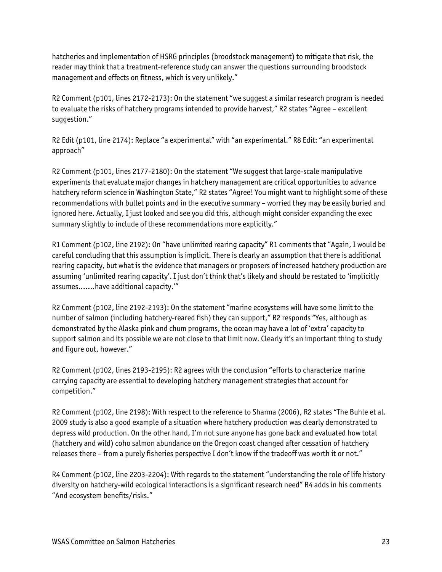hatcheries and implementation of HSRG principles (broodstock management) to mitigate that risk, the reader may think that a treatment-reference study can answer the questions surrounding broodstock management and effects on fitness, which is very unlikely."

R2 Comment (p101, lines 2172-2173): On the statement "we suggest a similar research program is needed to evaluate the risks of hatchery programs intended to provide harvest," R2 states "Agree – excellent suggestion."

R2 Edit (p101, line 2174): Replace "a experimental" with "an experimental." R8 Edit: "an experimental approach"

R2 Comment (p101, lines 2177-2180): On the statement "We suggest that large-scale manipulative experiments that evaluate major changes in hatchery management are critical opportunities to advance hatchery reform science in Washington State," R2 states "Agree! You might want to highlight some of these recommendations with bullet points and in the executive summary – worried they may be easily buried and ignored here. Actually, I just looked and see you did this, although might consider expanding the exec summary slightly to include of these recommendations more explicitly."

R1 Comment (p102, line 2192): On "have unlimited rearing capacity" R1 comments that "Again, I would be careful concluding that this assumption is implicit. There is clearly an assumption that there is additional rearing capacity, but what is the evidence that managers or proposers of increased hatchery production are assuming 'unlimited rearing capacity'. I just don't think that's likely and should be restated to 'implicitly assumes…….have additional capacity.'"

R2 Comment (p102, line 2192-2193): On the statement "marine ecosystems will have some limit to the number of salmon (including hatchery-reared fish) they can support," R2 responds "Yes, although as demonstrated by the Alaska pink and chum programs, the ocean may have a lot of 'extra' capacity to support salmon and its possible we are not close to that limit now. Clearly it's an important thing to study and figure out, however."

R2 Comment (p102, lines 2193-2195): R2 agrees with the conclusion "efforts to characterize marine carrying capacity are essential to developing hatchery management strategies that account for competition."

R2 Comment (p102, line 2198): With respect to the reference to Sharma (2006), R2 states "The Buhle et al. 2009 study is also a good example of a situation where hatchery production was clearly demonstrated to depress wild production. On the other hand, I'm not sure anyone has gone back and evaluated how total (hatchery and wild) coho salmon abundance on the Oregon coast changed after cessation of hatchery releases there – from a purely fisheries perspective I don't know if the tradeoff was worth it or not."

R4 Comment (p102, line 2203-2204): With regards to the statement "understanding the role of life history diversity on hatchery-wild ecological interactions is a significant research need" R4 adds in his comments "And ecosystem benefits/risks."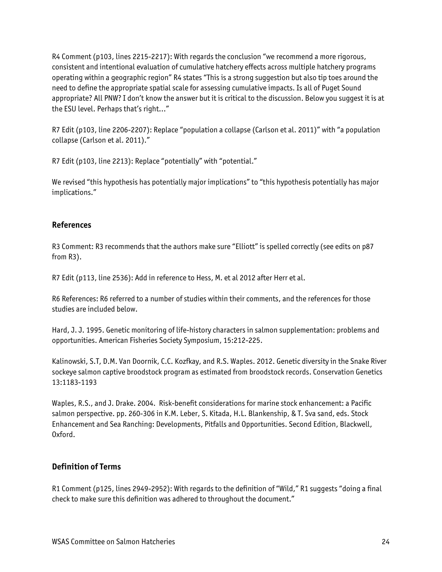R4 Comment (p103, lines 2215-2217): With regards the conclusion "we recommend a more rigorous, consistent and intentional evaluation of cumulative hatchery effects across multiple hatchery programs operating within a geographic region" R4 states "This is a strong suggestion but also tip toes around the need to define the appropriate spatial scale for assessing cumulative impacts. Is all of Puget Sound appropriate? All PNW? I don't know the answer but it is critical to the discussion. Below you suggest it is at the ESU level. Perhaps that's right…"

R7 Edit (p103, line 2206-2207): Replace "population a collapse (Carlson et al. 2011)" with "a population collapse (Carlson et al. 2011)."

R7 Edit (p103, line 2213): Replace "potentially" with "potential."

We revised "this hypothesis has potentially major implications" to "this hypothesis potentially has major implications."

# **References**

R3 Comment: R3 recommends that the authors make sure "Elliott" is spelled correctly (see edits on p87 from R3).

R7 Edit (p113, line 2536): Add in reference to Hess, M. et al 2012 after Herr et al.

R6 References: R6 referred to a number of studies within their comments, and the references for those studies are included below.

Hard, J. J. 1995. Genetic monitoring of life-history characters in salmon supplementation: problems and opportunities. American Fisheries Society Symposium, 15:212-225.

Kalinowski, S.T, D.M. Van Doornik, C.C. Kozfkay, and R.S. Waples. 2012. Genetic diversity in the Snake River sockeye salmon captive broodstock program as estimated from broodstock records. Conservation Genetics 13:1183-1193

Waples, R.S., and J. Drake. 2004. Risk-benefit considerations for marine stock enhancement: a Pacific salmon perspective. pp. 260-306 in K.M. Leber, S. Kitada, H.L. Blankenship, & T. Sva sand, eds. Stock Enhancement and Sea Ranching: Developments, Pitfalls and Opportunities. Second Edition, Blackwell, Oxford.

# **Definition of Terms**

R1 Comment (p125, lines 2949-2952): With regards to the definition of "Wild," R1 suggests "doing a final check to make sure this definition was adhered to throughout the document."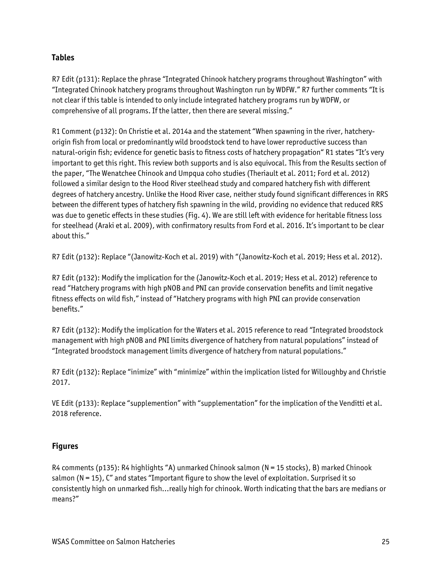## **Tables**

R7 Edit (p131): Replace the phrase "Integrated Chinook hatchery programs throughout Washington" with "Integrated Chinook hatchery programs throughout Washington run by WDFW." R7 further comments "It is not clear if this table is intended to only include integrated hatchery programs run by WDFW, or comprehensive of all programs. If the latter, then there are several missing."

R1 Comment (p132): On Christie et al. 2014a and the statement "When spawning in the river, hatcheryorigin fish from local or predominantly wild broodstock tend to have lower reproductive success than natural-origin fish; evidence for genetic basis to fitness costs of hatchery propagation" R1 states "It's very important to get this right. This review both supports and is also equivocal. This from the Results section of the paper, "The Wenatchee Chinook and Umpqua coho studies (Theriault et al. 2011; Ford et al. 2012) followed a similar design to the Hood River steelhead study and compared hatchery fish with different degrees of hatchery ancestry. Unlike the Hood River case, neither study found significant differences in RRS between the different types of hatchery fish spawning in the wild, providing no evidence that reduced RRS was due to genetic effects in these studies (Fig. 4). We are still left with evidence for heritable fitness loss for steelhead (Araki et al. 2009), with confirmatory results from Ford et al. 2016. It's important to be clear about this."

R7 Edit (p132): Replace "(Janowitz-Koch et al. 2019) with "(Janowitz-Koch et al. 2019; Hess et al. 2012).

R7 Edit (p132): Modify the implication for the (Janowitz-Koch et al. 2019; Hess et al. 2012) reference to read "Hatchery programs with high pNOB and PNI can provide conservation benefits and limit negative fitness effects on wild fish," instead of "Hatchery programs with high PNI can provide conservation benefits."

R7 Edit (p132): Modify the implication for the Waters et al. 2015 reference to read "Integrated broodstock management with high pNOB and PNI limits divergence of hatchery from natural populations" instead of "Integrated broodstock management limits divergence of hatchery from natural populations."

R7 Edit (p132): Replace "inimize" with "minimize" within the implication listed for Willoughby and Christie 2017.

VE Edit (p133): Replace "supplemention" with "supplementation" for the implication of the Venditti et al. 2018 reference.

# **Figures**

R4 comments (p135): R4 highlights "A) unmarked Chinook salmon (N = 15 stocks), B) marked Chinook salmon ( $N = 15$ ), C'' and states "Important figure to show the level of exploitation. Surprised it so consistently high on unmarked fish…really high for chinook. Worth indicating that the bars are medians or means?"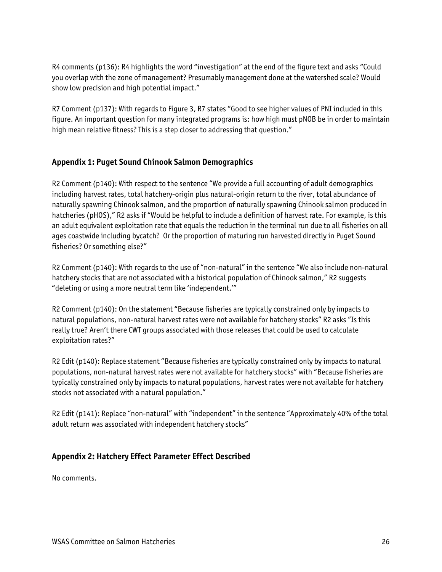R4 comments (p136): R4 highlights the word "investigation" at the end of the figure text and asks "Could you overlap with the zone of management? Presumably management done at the watershed scale? Would show low precision and high potential impact."

R7 Comment (p137): With regards to Figure 3, R7 states "Good to see higher values of PNI included in this figure. An important question for many integrated programs is: how high must pNOB be in order to maintain high mean relative fitness? This is a step closer to addressing that question."

## **Appendix 1: Puget Sound Chinook Salmon Demographics**

R2 Comment (p140): With respect to the sentence "We provide a full accounting of adult demographics including harvest rates, total hatchery-origin plus natural-origin return to the river, total abundance of naturally spawning Chinook salmon, and the proportion of naturally spawning Chinook salmon produced in hatcheries (pHOS)," R2 asks if "Would be helpful to include a definition of harvest rate. For example, is this an adult equivalent exploitation rate that equals the reduction in the terminal run due to all fisheries on all ages coastwide including bycatch? Or the proportion of maturing run harvested directly in Puget Sound fisheries? Or something else?"

R2 Comment (p140): With regards to the use of "non-natural" in the sentence "We also include non-natural hatchery stocks that are not associated with a historical population of Chinook salmon," R2 suggests "deleting or using a more neutral term like 'independent.'"

R2 Comment (p140): On the statement "Because fisheries are typically constrained only by impacts to natural populations, non-natural harvest rates were not available for hatchery stocks" R2 asks "Is this really true? Aren't there CWT groups associated with those releases that could be used to calculate exploitation rates?"

R2 Edit (p140): Replace statement "Because fisheries are typically constrained only by impacts to natural populations, non-natural harvest rates were not available for hatchery stocks" with "Because fisheries are typically constrained only by impacts to natural populations, harvest rates were not available for hatchery stocks not associated with a natural population."

R2 Edit (p141): Replace "non-natural" with "independent" in the sentence "Approximately 40% of the total adult return was associated with independent hatchery stocks"

# **Appendix 2: Hatchery Effect Parameter Effect Described**

No comments.